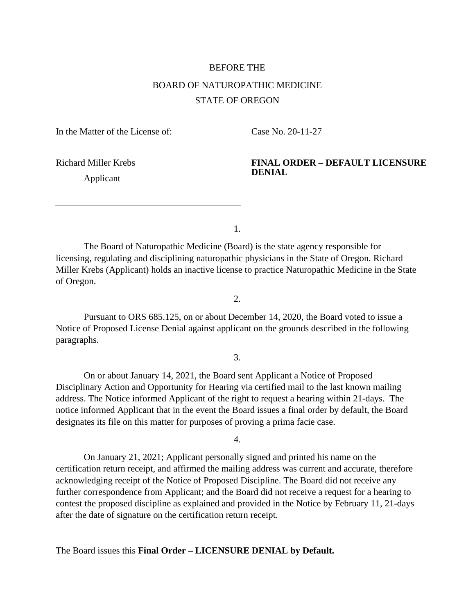# BEFORE THE BOARD OF NATUROPATHIC MEDICINE STATE OF OREGON

In the Matter of the License of:

Richard Miller Krebs

Applicant

Case No. 20-11-27

## **FINAL ORDER – DEFAULT LICENSURE DENIAL**

1.

The Board of Naturopathic Medicine (Board) is the state agency responsible for licensing, regulating and disciplining naturopathic physicians in the State of Oregon. Richard Miller Krebs (Applicant) holds an inactive license to practice Naturopathic Medicine in the State of Oregon.

2.

Pursuant to ORS 685.125, on or about December 14, 2020, the Board voted to issue a Notice of Proposed License Denial against applicant on the grounds described in the following paragraphs.

3.

On or about January 14, 2021, the Board sent Applicant a Notice of Proposed Disciplinary Action and Opportunity for Hearing via certified mail to the last known mailing address. The Notice informed Applicant of the right to request a hearing within 21-days. The notice informed Applicant that in the event the Board issues a final order by default, the Board designates its file on this matter for purposes of proving a prima facie case.

4.

On January 21, 2021; Applicant personally signed and printed his name on the certification return receipt, and affirmed the mailing address was current and accurate, therefore acknowledging receipt of the Notice of Proposed Discipline. The Board did not receive any further correspondence from Applicant; and the Board did not receive a request for a hearing to contest the proposed discipline as explained and provided in the Notice by February 11, 21-days after the date of signature on the certification return receipt.

The Board issues this **Final Order – LICENSURE DENIAL by Default.**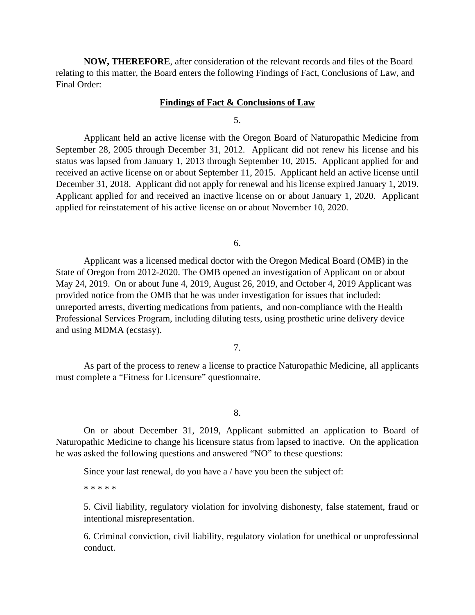**NOW, THEREFORE**, after consideration of the relevant records and files of the Board relating to this matter, the Board enters the following Findings of Fact, Conclusions of Law, and Final Order:

### **Findings of Fact & Conclusions of Law**

#### 5.

Applicant held an active license with the Oregon Board of Naturopathic Medicine from September 28, 2005 through December 31, 2012. Applicant did not renew his license and his status was lapsed from January 1, 2013 through September 10, 2015. Applicant applied for and received an active license on or about September 11, 2015. Applicant held an active license until December 31, 2018. Applicant did not apply for renewal and his license expired January 1, 2019. Applicant applied for and received an inactive license on or about January 1, 2020. Applicant applied for reinstatement of his active license on or about November 10, 2020.

6.

Applicant was a licensed medical doctor with the Oregon Medical Board (OMB) in the State of Oregon from 2012-2020. The OMB opened an investigation of Applicant on or about May 24, 2019. On or about June 4, 2019, August 26, 2019, and October 4, 2019 Applicant was provided notice from the OMB that he was under investigation for issues that included: unreported arrests, diverting medications from patients, and non-compliance with the Health Professional Services Program, including diluting tests, using prosthetic urine delivery device and using MDMA (ecstasy).

7.

As part of the process to renew a license to practice Naturopathic Medicine, all applicants must complete a "Fitness for Licensure" questionnaire.

8.

On or about December 31, 2019, Applicant submitted an application to Board of Naturopathic Medicine to change his licensure status from lapsed to inactive. On the application he was asked the following questions and answered "NO" to these questions:

Since your last renewal, do you have a / have you been the subject of:

\* \* \* \* \*

5. Civil liability, regulatory violation for involving dishonesty, false statement, fraud or intentional misrepresentation.

6. Criminal conviction, civil liability, regulatory violation for unethical or unprofessional conduct.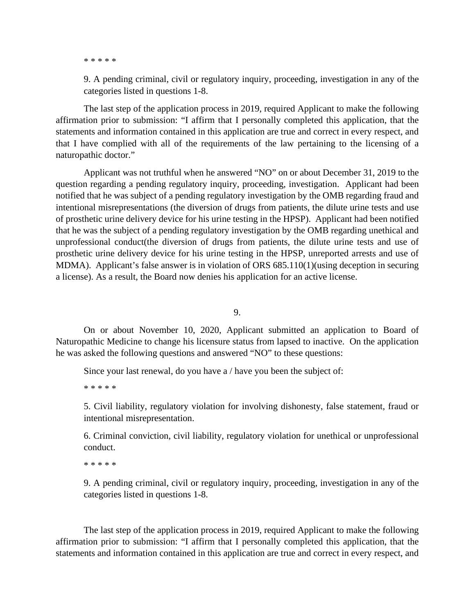\* \* \* \* \*

9. A pending criminal, civil or regulatory inquiry, proceeding, investigation in any of the categories listed in questions 1-8.

The last step of the application process in 2019, required Applicant to make the following affirmation prior to submission: "I affirm that I personally completed this application, that the statements and information contained in this application are true and correct in every respect, and that I have complied with all of the requirements of the law pertaining to the licensing of a naturopathic doctor."

Applicant was not truthful when he answered "NO" on or about December 31, 2019 to the question regarding a pending regulatory inquiry, proceeding, investigation. Applicant had been notified that he was subject of a pending regulatory investigation by the OMB regarding fraud and intentional misrepresentations (the diversion of drugs from patients, the dilute urine tests and use of prosthetic urine delivery device for his urine testing in the HPSP). Applicant had been notified that he was the subject of a pending regulatory investigation by the OMB regarding unethical and unprofessional conduct(the diversion of drugs from patients, the dilute urine tests and use of prosthetic urine delivery device for his urine testing in the HPSP, unreported arrests and use of MDMA). Applicant's false answer is in violation of ORS 685.110(1)(using deception in securing a license). As a result, the Board now denies his application for an active license.

9.

On or about November 10, 2020, Applicant submitted an application to Board of Naturopathic Medicine to change his licensure status from lapsed to inactive. On the application he was asked the following questions and answered "NO" to these questions:

Since your last renewal, do you have a / have you been the subject of:

\* \* \* \* \*

5. Civil liability, regulatory violation for involving dishonesty, false statement, fraud or intentional misrepresentation.

6. Criminal conviction, civil liability, regulatory violation for unethical or unprofessional conduct.

\* \* \* \* \*

9. A pending criminal, civil or regulatory inquiry, proceeding, investigation in any of the categories listed in questions 1-8.

The last step of the application process in 2019, required Applicant to make the following affirmation prior to submission: "I affirm that I personally completed this application, that the statements and information contained in this application are true and correct in every respect, and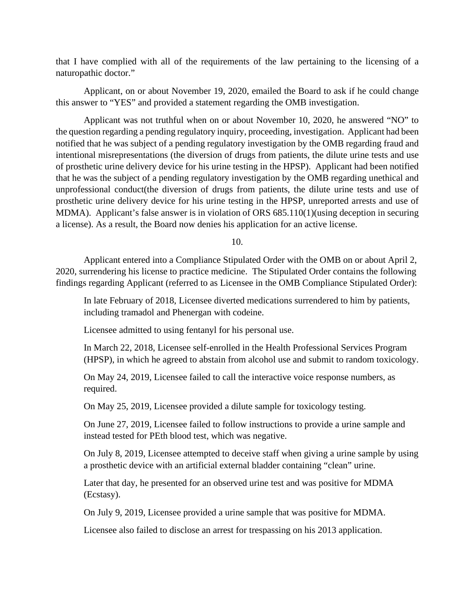that I have complied with all of the requirements of the law pertaining to the licensing of a naturopathic doctor."

Applicant, on or about November 19, 2020, emailed the Board to ask if he could change this answer to "YES" and provided a statement regarding the OMB investigation.

Applicant was not truthful when on or about November 10, 2020, he answered "NO" to the question regarding a pending regulatory inquiry, proceeding, investigation. Applicant had been notified that he was subject of a pending regulatory investigation by the OMB regarding fraud and intentional misrepresentations (the diversion of drugs from patients, the dilute urine tests and use of prosthetic urine delivery device for his urine testing in the HPSP). Applicant had been notified that he was the subject of a pending regulatory investigation by the OMB regarding unethical and unprofessional conduct(the diversion of drugs from patients, the dilute urine tests and use of prosthetic urine delivery device for his urine testing in the HPSP, unreported arrests and use of MDMA). Applicant's false answer is in violation of ORS 685.110(1)(using deception in securing a license). As a result, the Board now denies his application for an active license.

10.

Applicant entered into a Compliance Stipulated Order with the OMB on or about April 2, 2020, surrendering his license to practice medicine. The Stipulated Order contains the following findings regarding Applicant (referred to as Licensee in the OMB Compliance Stipulated Order):

In late February of 2018, Licensee diverted medications surrendered to him by patients, including tramadol and Phenergan with codeine.

Licensee admitted to using fentanyl for his personal use.

In March 22, 2018, Licensee self-enrolled in the Health Professional Services Program (HPSP), in which he agreed to abstain from alcohol use and submit to random toxicology.

On May 24, 2019, Licensee failed to call the interactive voice response numbers, as required.

On May 25, 2019, Licensee provided a dilute sample for toxicology testing.

On June 27, 2019, Licensee failed to follow instructions to provide a urine sample and instead tested for PEth blood test, which was negative.

On July 8, 2019, Licensee attempted to deceive staff when giving a urine sample by using a prosthetic device with an artificial external bladder containing "clean" urine.

Later that day, he presented for an observed urine test and was positive for MDMA (Ecstasy).

On July 9, 2019, Licensee provided a urine sample that was positive for MDMA.

Licensee also failed to disclose an arrest for trespassing on his 2013 application.